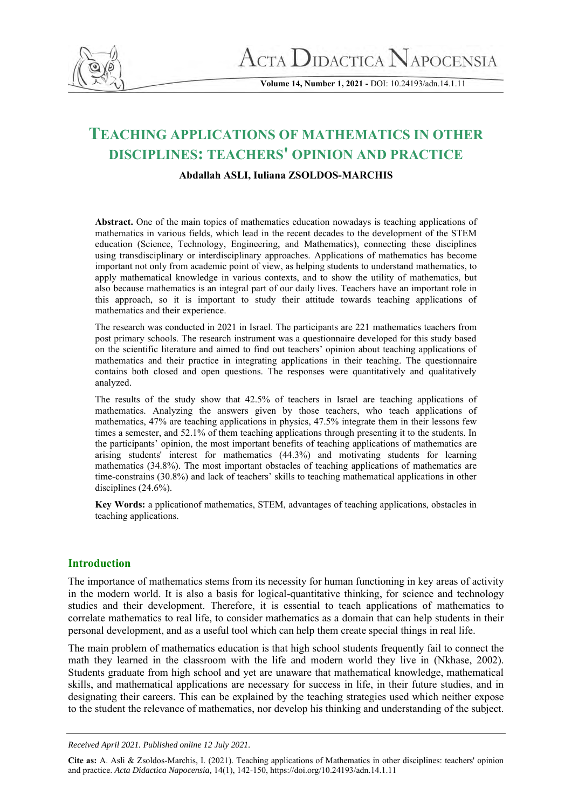

**Volume 14, Number 1, 2021 -** DOI: 10.24193/adn.14.1.11

# **TEACHING APPLICATIONS OF MATHEMATICS IN OTHER DISCIPLINES: TEACHERS' OPINION AND PRACTICE**

#### **Abdallah ASLI, Iuliana ZSOLDOS-MARCHIS**

**Abstract.** One of the main topics of mathematics education nowadays is teaching applications of mathematics in various fields, which lead in the recent decades to the development of the STEM education (Science, Technology, Engineering, and Mathematics), connecting these disciplines using transdisciplinary or interdisciplinary approaches. Applications of mathematics has become important not only from academic point of view, as helping students to understand mathematics, to apply mathematical knowledge in various contexts, and to show the utility of mathematics, but also because mathematics is an integral part of our daily lives. Teachers have an important role in this approach, so it is important to study their attitude towards teaching applications of mathematics and their experience.

The research was conducted in 2021 in Israel. The participants are 221 mathematics teachers from post primary schools. The research instrument was a questionnaire developed for this study based on the scientific literature and aimed to find out teachers' opinion about teaching applications of mathematics and their practice in integrating applications in their teaching. The questionnaire contains both closed and open questions. The responses were quantitatively and qualitatively analyzed.

The results of the study show that 42.5% of teachers in Israel are teaching applications of mathematics. Analyzing the answers given by those teachers, who teach applications of mathematics, 47% are teaching applications in physics, 47.5% integrate them in their lessons few times a semester, and 52.1% of them teaching applications through presenting it to the students. In the participants' opinion, the most important benefits of teaching applications of mathematics are arising students' interest for mathematics (44.3%) and motivating students for learning mathematics (34.8%). The most important obstacles of teaching applications of mathematics are time-constrains (30.8%) and lack of teachers' skills to teaching mathematical applications in other disciplines (24.6%).

**Key Words:** a pplicationof mathematics, STEM, advantages of teaching applications, obstacles in teaching applications.

#### **Introduction**

The importance of mathematics stems from its necessity for human functioning in key areas of activity in the modern world. It is also a basis for logical-quantitative thinking, for science and technology studies and their development. Therefore, it is essential to teach applications of mathematics to correlate mathematics to real life, to consider mathematics as a domain that can help students in their personal development, and as a useful tool which can help them create special things in real life.

The main problem of mathematics education is that high school students frequently fail to connect the math they learned in the classroom with the life and modern world they live in (Nkhase, 2002). Students graduate from high school and yet are unaware that mathematical knowledge, mathematical skills, and mathematical applications are necessary for success in life, in their future studies, and in designating their careers. This can be explained by the teaching strategies used which neither expose to the student the relevance of mathematics, nor develop his thinking and understanding of the subject.

*Received April 2021. Published online 12 July 2021.*

**Cite as:** A. Asli & Zsoldos-Marchis, I. (2021). Teaching applications of Mathematics in other disciplines: teachers' opinion and practice. *Acta Didactica Napocensia,* 14(1), 142-150[, https://doi.org/10.24193/adn.14.1.11](https://doi.org/10.24193/adn.14.1.11)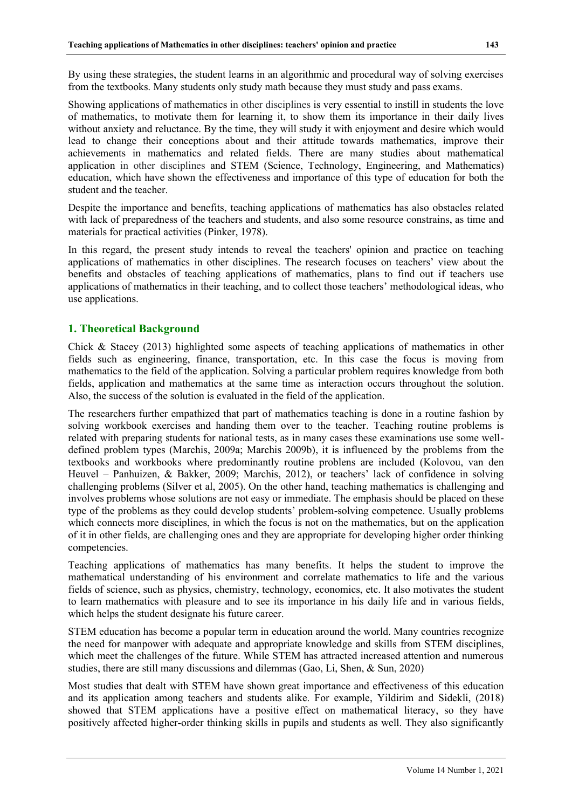By using these strategies, the student learns in an algorithmic and procedural way of solving exercises from the textbooks. Many students only study math because they must study and pass exams.

Showing applications of mathematics in other disciplines is very essential to instill in students the love of mathematics, to motivate them for learning it, to show them its importance in their daily lives without anxiety and reluctance. By the time, they will study it with enjoyment and desire which would lead to change their conceptions about and their attitude towards mathematics, improve their achievements in mathematics and related fields. There are many studies about mathematical application in other disciplines and STEM (Science, Technology, Engineering, and Mathematics) education, which have shown the effectiveness and importance of this type of education for both the student and the teacher.

Despite the importance and benefits, teaching applications of mathematics has also obstacles related with lack of preparedness of the teachers and students, and also some resource constrains, as time and materials for practical activities (Pinker, 1978).

In this regard, the present study intends to reveal the teachers' opinion and practice on teaching applications of mathematics in other disciplines. The research focuses on teachers' view about the benefits and obstacles of teaching applications of mathematics, plans to find out if teachers use applications of mathematics in their teaching, and to collect those teachers' methodological ideas, who use applications.

## **1. Theoretical Background**

Chick & Stacey (2013) highlighted some aspects of teaching applications of mathematics in other fields such as engineering, finance, transportation, etc. In this case the focus is moving from mathematics to the field of the application. Solving a particular problem requires knowledge from both fields, application and mathematics at the same time as interaction occurs throughout the solution. Also, the success of the solution is evaluated in the field of the application.

The researchers further empathized that part of mathematics teaching is done in a routine fashion by solving workbook exercises and handing them over to the teacher. Teaching routine problems is related with preparing students for national tests, as in many cases these examinations use some welldefined problem types (Marchis, 2009a; Marchis 2009b), it is influenced by the problems from the textbooks and workbooks where predominantly routine problens are included (Kolovou, van den Heuvel – Panhuizen, & Bakker, 2009; Marchis, 2012), or teachers' lack of confidence in solving challenging problems (Silver et al, 2005). On the other hand, teaching mathematics is challenging and involves problems whose solutions are not easy or immediate. The emphasis should be placed on these type of the problems as they could develop students' problem-solving competence. Usually problems which connects more disciplines, in which the focus is not on the mathematics, but on the application of it in other fields, are challenging ones and they are appropriate for developing higher order thinking competencies.

Teaching applications of mathematics has many benefits. It helps the student to improve the mathematical understanding of his environment and correlate mathematics to life and the various fields of science, such as physics, chemistry, technology, economics, etc. It also motivates the student to learn mathematics with pleasure and to see its importance in his daily life and in various fields, which helps the student designate his future career.

STEM education has become a popular term in education around the world. Many countries recognize the need for manpower with adequate and appropriate knowledge and skills from STEM disciplines, which meet the challenges of the future. While STEM has attracted increased attention and numerous studies, there are still many discussions and dilemmas (Gao, Li, Shen, & Sun, 2020)

Most studies that dealt with STEM have shown great importance and effectiveness of this education and its application among teachers and students alike. For example, Yildirim and Sidekli, (2018) showed that STEM applications have a positive effect on mathematical literacy, so they have positively affected higher-order thinking skills in pupils and students as well. They also significantly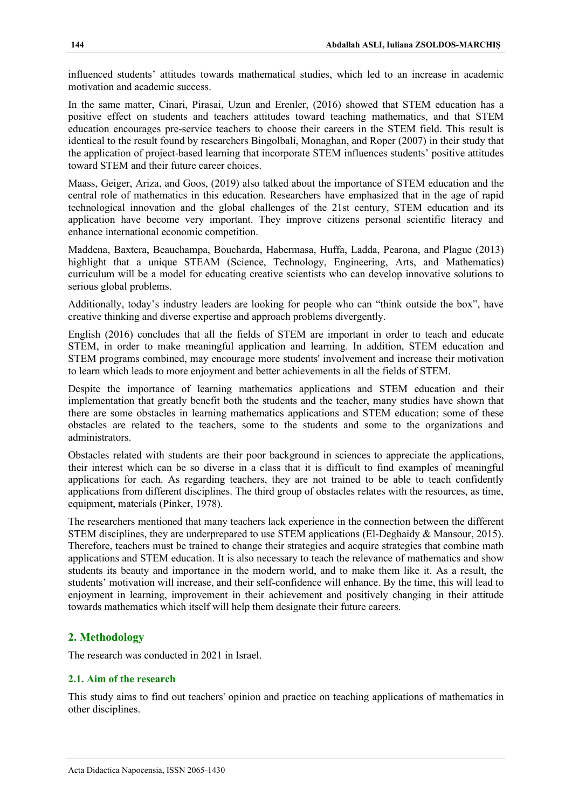influenced students' attitudes towards mathematical studies, which led to an increase in academic motivation and academic success.

In the same matter, Cinari, Pirasai, Uzun and Erenler, (2016) showed that STEM education has a positive effect on students and teachers attitudes toward teaching mathematics, and that STEM education encourages pre-service teachers to choose their careers in the STEM field. This result is identical to the result found by researchers Bingolbali, Monaghan, and Roper (2007) in their study that the application of project-based learning that incorporate STEM influences students' positive attitudes toward STEM and their future career choices.

Maass, Geiger, Ariza, and Goos, (2019) also talked about the importance of STEM education and the central role of mathematics in this education. Researchers have emphasized that in the age of rapid technological innovation and the global challenges of the 21st century, STEM education and its application have become very important. They improve citizens personal scientific literacy and enhance international economic competition.

Maddena, Baxtera, Beauchampa, Boucharda, Habermasa, Huffa, Ladda, Pearona, and Plague (2013) highlight that a unique STEAM (Science, Technology, Engineering, Arts, and Mathematics) curriculum will be a model for educating creative scientists who can develop innovative solutions to serious global problems.

Additionally, today's industry leaders are looking for people who can "think outside the box", have creative thinking and diverse expertise and approach problems divergently.

English (2016) concludes that all the fields of STEM are important in order to teach and educate STEM, in order to make meaningful application and learning. In addition, STEM education and STEM programs combined, may encourage more students' involvement and increase their motivation to learn which leads to more enjoyment and better achievements in all the fields of STEM.

Despite the importance of learning mathematics applications and STEM education and their implementation that greatly benefit both the students and the teacher, many studies have shown that there are some obstacles in learning mathematics applications and STEM education; some of these obstacles are related to the teachers, some to the students and some to the organizations and administrators.

Obstacles related with students are their poor background in sciences to appreciate the applications, their interest which can be so diverse in a class that it is difficult to find examples of meaningful applications for each. As regarding teachers, they are not trained to be able to teach confidently applications from different disciplines. The third group of obstacles relates with the resources, as time, equipment, materials (Pinker, 1978).

The researchers mentioned that many teachers lack experience in the connection between the different STEM disciplines, they are underprepared to use STEM applications (El-Deghaidy & Mansour, 2015). Therefore, teachers must be trained to change their strategies and acquire strategies that combine math applications and STEM education. It is also necessary to teach the relevance of mathematics and show students its beauty and importance in the modern world, and to make them like it. As a result, the students' motivation will increase, and their self-confidence will enhance. By the time, this will lead to enjoyment in learning, improvement in their achievement and positively changing in their attitude towards mathematics which itself will help them designate their future careers.

# **2. Methodology**

The research was conducted in 2021 in Israel.

# **2.1. Aim of the research**

This study aims to find out teachers' opinion and practice on teaching applications of mathematics in other disciplines.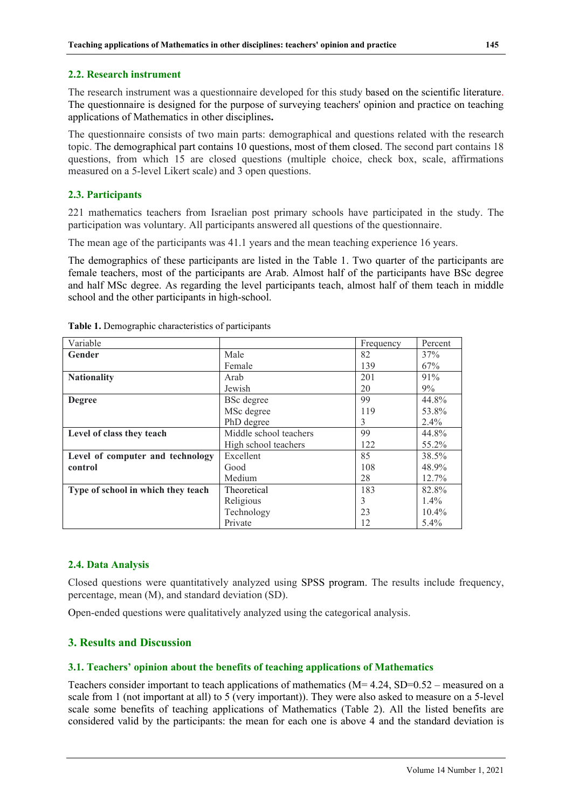#### **2.2. Research instrument**

The research instrument was a questionnaire developed for this study based on the scientific literature. The questionnaire is designed for the purpose of surveying teachers' opinion and practice on teaching applications of Mathematics in other disciplines**.**

The questionnaire consists of two main parts: demographical and questions related with the research topic. The demographical part contains 10 questions, most of them closed. The second part contains 18 questions, from which 15 are closed questions (multiple choice, check box, scale, affirmations measured on a 5-level Likert scale) and 3 open questions.

#### **2.3. Participants**

221 mathematics teachers from Israelian post primary schools have participated in the study. The participation was voluntary. All participants answered all questions of the questionnaire.

The mean age of the participants was 41.1 years and the mean teaching experience 16 years.

The demographics of these participants are listed in the Table 1. Two quarter of the participants are female teachers, most of the participants are Arab. Almost half of the participants have BSc degree and half MSc degree. As regarding the level participants teach, almost half of them teach in middle school and the other participants in high-school.

| Variable                           |                        | Frequency | Percent  |
|------------------------------------|------------------------|-----------|----------|
| Gender                             | Male                   | 82        | 37%      |
|                                    | Female                 | 139       | 67%      |
| <b>Nationality</b>                 | Arab                   | 201       | 91%      |
|                                    | Jewish                 | 20        | 9%       |
| <b>Degree</b>                      | <b>BSc</b> degree      | 99        | 44.8%    |
|                                    | MSc degree             | 119       | 53.8%    |
|                                    | PhD degree             | 3         | $2.4\%$  |
| Level of class they teach          | Middle school teachers | 99        | 44.8%    |
|                                    | High school teachers   | 122       | 55.2%    |
| Level of computer and technology   | Excellent              | 85        | 38.5%    |
| control                            | Good                   | 108       | 48.9%    |
|                                    | Medium                 | 28        | $12.7\%$ |
| Type of school in which they teach | Theoretical            | 183       | 82.8%    |
|                                    | Religious              | 3         | $1.4\%$  |
|                                    | Technology             | 23        | $10.4\%$ |
|                                    | Private                | 12        | $5.4\%$  |

**Table 1.** Demographic characteristics of participants

#### **2.4. Data Analysis**

Closed questions were quantitatively analyzed using SPSS program. The results include frequency, percentage, mean (M), and standard deviation (SD).

Open-ended questions were qualitatively analyzed using the categorical analysis.

#### **3. Results and Discussion**

# **3.1. Teachers' opinion about the benefits of teaching applications of Mathematics**

Teachers consider important to teach applications of mathematics  $(M= 4.24, SD=0.52$  – measured on a scale from 1 (not important at all) to 5 (very important)). They were also asked to measure on a 5-level scale some benefits of teaching applications of Mathematics (Table 2). All the listed benefits are considered valid by the participants: the mean for each one is above 4 and the standard deviation is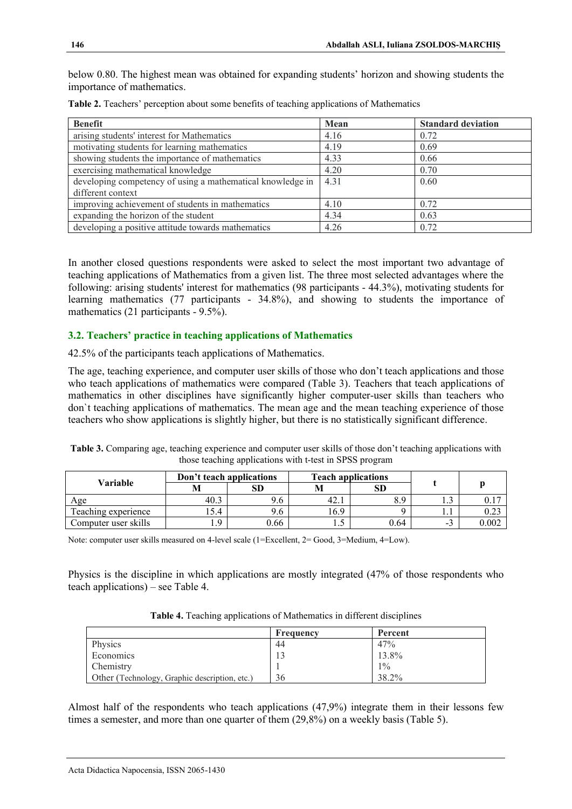below 0.80. The highest mean was obtained for expanding students' horizon and showing students the importance of mathematics.

| <b>Benefit</b>                                             | Mean | <b>Standard deviation</b> |
|------------------------------------------------------------|------|---------------------------|
| arising students' interest for Mathematics                 | 4.16 | 0.72                      |
| motivating students for learning mathematics               | 4.19 | 0.69                      |
| showing students the importance of mathematics             | 4.33 | 0.66                      |
| exercising mathematical knowledge                          | 4.20 | 0.70                      |
| developing competency of using a mathematical knowledge in | 4.31 | 0.60                      |
| different context                                          |      |                           |
| improving achievement of students in mathematics           | 4.10 | 0.72                      |
| expanding the horizon of the student                       | 4.34 | 0.63                      |
| developing a positive attitude towards mathematics         | 4.26 | 0.72                      |

**Table 2.** Teachers' perception about some benefits of teaching applications of Mathematics

In another closed questions respondents were asked to select the most important two advantage of teaching applications of Mathematics from a given list. The three most selected advantages where the following: arising students' interest for mathematics (98 participants - 44.3%), motivating students for learning mathematics (77 participants - 34.8%), and showing to students the importance of mathematics (21 participants - 9.5%).

#### **3.2. Teachers' practice in teaching applications of Mathematics**

42.5% of the participants teach applications of Mathematics.

The age, teaching experience, and computer user skills of those who don't teach applications and those who teach applications of mathematics were compared (Table 3). Teachers that teach applications of mathematics in other disciplines have significantly higher computer-user skills than teachers who don`t teaching applications of mathematics. The mean age and the mean teaching experience of those teachers who show applications is slightly higher, but there is no statistically significant difference.

|                      |      | Don't teach applications<br><b>Teach applications</b> |      |      |     |       |
|----------------------|------|-------------------------------------------------------|------|------|-----|-------|
| Variable             | M    | SD                                                    | M    | SD   |     |       |
| Age                  | 40.3 | 9.6                                                   | 42.1 | 8.9  |     | U.I   |
| Teaching experience  | .5.4 | 9.6                                                   | 16.9 |      |     |       |
| Computer user skills | .9   | 0.66                                                  |      | 0.64 | - 1 | 0.002 |

**Table 3.** Comparing age, teaching experience and computer user skills of those don't teaching applications with those teaching applications with t-test in SPSS program

Note: computer user skills measured on 4-level scale (1=Excellent, 2= Good, 3=Medium, 4=Low).

Physics is the discipline in which applications are mostly integrated (47% of those respondents who teach applications) – see Table 4.

| Table 4. Teaching applications of Mathematics in different disciplines |  |
|------------------------------------------------------------------------|--|
|------------------------------------------------------------------------|--|

|                                               | Frequency | Percent |
|-----------------------------------------------|-----------|---------|
| Physics                                       | 44        | 47%     |
| Economics                                     | 13        | 13.8%   |
| Chemistry                                     |           | $1\%$   |
| Other (Technology, Graphic description, etc.) | 36        | 38.2%   |

Almost half of the respondents who teach applications (47,9%) integrate them in their lessons few times a semester, and more than one quarter of them (29,8%) on a weekly basis (Table 5).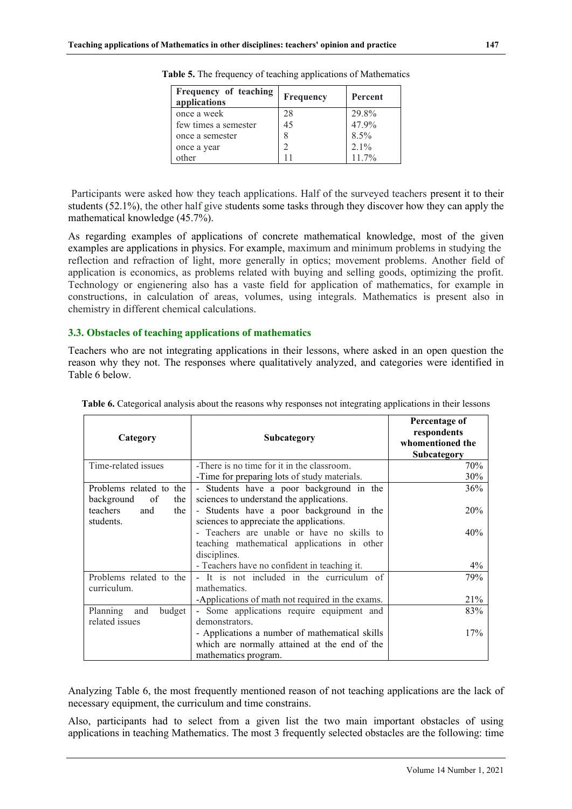| Frequency of teaching<br>applications | Frequency | Percent  |
|---------------------------------------|-----------|----------|
| once a week                           | 28        | 29.8%    |
| few times a semester                  | 45        | 47.9%    |
| once a semester                       |           | $8.5\%$  |
| once a year                           |           | $2.1\%$  |
| other                                 |           | $11.7\%$ |

**Table 5.** The frequency of teaching applications of Mathematics

 Participants were asked how they teach applications. Half of the surveyed teachers present it to their students (52.1%), the other half give students some tasks through they discover how they can apply the mathematical knowledge (45.7%).

As regarding examples of applications of concrete mathematical knowledge, most of the given examples are applications in physics. For example, maximum and minimum problems in studying the reflection and refraction of light, more generally in optics; movement problems. Another field of application is economics, as problems related with buying and selling goods, optimizing the profit. Technology or engienering also has a vaste field for application of mathematics, for example in constructions, in calculation of areas, volumes, using integrals. Mathematics is present also in chemistry in different chemical calculations.

#### **3.3. Obstacles of teaching applications of mathematics**

Teachers who are not integrating applications in their lessons, where asked in an open question the reason why they not. The responses where qualitatively analyzed, and categories were identified in Table 6 below.

| Category                                           | Subcategory                                                                                                             | Percentage of<br>respondents<br>whomentioned the<br>Subcategory |
|----------------------------------------------------|-------------------------------------------------------------------------------------------------------------------------|-----------------------------------------------------------------|
| Time-related issues                                | -There is no time for it in the classroom.                                                                              | 70%                                                             |
|                                                    | -Time for preparing lots of study materials.                                                                            | 30%                                                             |
| Problems related to the<br>background<br>of<br>the | - Students have a poor background in the<br>sciences to understand the applications.                                    | 36%                                                             |
| teachers<br>and<br>the<br>students.                | - Students have a poor background in the<br>sciences to appreciate the applications.                                    | 20%                                                             |
|                                                    | - Teachers are unable or have no skills to<br>teaching mathematical applications in other<br>disciplines.               | 40%                                                             |
|                                                    | - Teachers have no confident in teaching it.                                                                            | $4\%$                                                           |
| Problems related to the<br>curriculum.             | - It is not included in the curriculum of<br>mathematics.                                                               | 79%                                                             |
|                                                    | -Applications of math not required in the exams.                                                                        | 21%                                                             |
| Planning<br>budget<br>and<br>related issues        | - Some applications require equipment and<br>demonstrators.                                                             | 83%                                                             |
|                                                    | - Applications a number of mathematical skills<br>which are normally attained at the end of the<br>mathematics program. | 17%                                                             |

**Table 6.** Categorical analysis about the reasons why responses not integrating applications in their lessons

Analyzing Table 6, the most frequently mentioned reason of not teaching applications are the lack of necessary equipment, the curriculum and time constrains.

Also, participants had to select from a given list the two main important obstacles of using applications in teaching Mathematics. The most 3 frequently selected obstacles are the following: time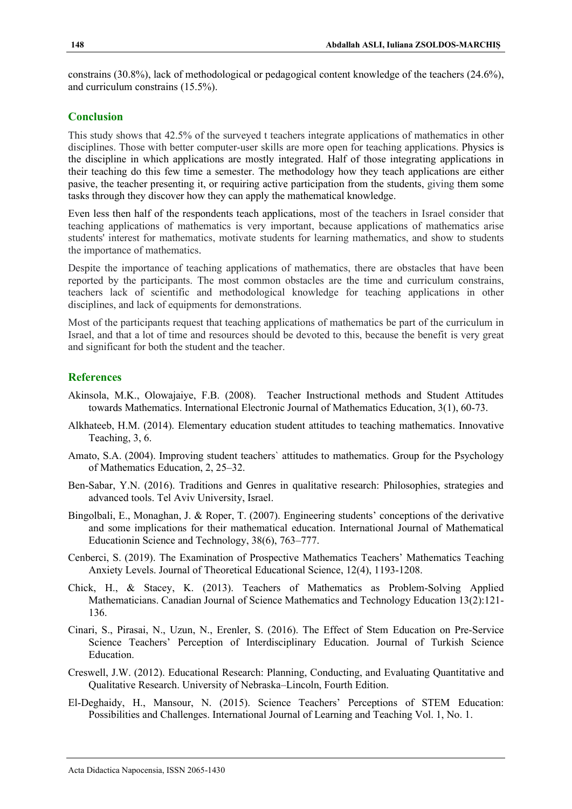constrains (30.8%), lack of methodological or pedagogical content knowledge of the teachers (24.6%), and curriculum constrains (15.5%).

#### **Conclusion**

This study shows that 42.5% of the surveyed t teachers integrate applications of mathematics in other disciplines. Those with better computer-user skills are more open for teaching applications. Physics is the discipline in which applications are mostly integrated. Half of those integrating applications in their teaching do this few time a semester. The methodology how they teach applications are either pasive, the teacher presenting it, or requiring active participation from the students, giving them some tasks through they discover how they can apply the mathematical knowledge.

Even less then half of the respondents teach applications, most of the teachers in Israel consider that teaching applications of mathematics is very important, because applications of mathematics arise students' interest for mathematics, motivate students for learning mathematics, and show to students the importance of mathematics.

Despite the importance of teaching applications of mathematics, there are obstacles that have been reported by the participants. The most common obstacles are the time and curriculum constrains, teachers lack of scientific and methodological knowledge for teaching applications in other disciplines, and lack of equipments for demonstrations.

Most of the participants request that teaching applications of mathematics be part of the curriculum in Israel, and that a lot of time and resources should be devoted to this, because the benefit is very great and significant for both the student and the teacher.

## **References**

- Akinsola, M.K., Olowajaiye, F.B. (2008). Teacher Instructional methods and Student Attitudes towards Mathematics. International Electronic Journal of Mathematics Education, 3(1), 60-73.
- Alkhateeb, H.M. (2014). Elementary education student attitudes to teaching mathematics. Innovative Teaching, 3, 6.
- Amato, S.A. (2004). Improving student teachers` attitudes to mathematics. Group for the Psychology of Mathematics Education, 2, 25–32.
- Ben-Sabar, Y.N. (2016). Traditions and Genres in qualitative research: Philosophies, strategies and advanced tools. Tel Aviv University, Israel.
- Bingolbali, E., Monaghan, J. & Roper, T. (2007). Engineering students' conceptions of the derivative and some implications for their mathematical education. International Journal of Mathematical Educationin Science and Technology, 38(6), 763–777.
- Cenberci, S. (2019). The Examination of Prospective Mathematics Teachers' Mathematics Teaching Anxiety Levels. Journal of Theoretical Educational Science, 12(4), 1193-1208.
- Chick, H., & Stacey, K. (2013). Teachers of Mathematics as Problem-Solving Applied Mathematicians. Canadian Journal of Science Mathematics and Technology Education 13(2):121- 136.
- Cinari, S., Pirasai, N., Uzun, N., Erenler, S. (2016). The Effect of Stem Education on Pre-Service Science Teachers' Perception of Interdisciplinary Education. Journal of Turkish Science Education.
- Creswell, J.W. (2012). Educational Research: Planning, Conducting, and Evaluating Quantitative and Qualitative Research. University of Nebraska–Lincoln, Fourth Edition.
- El-Deghaidy, H., Mansour, N. (2015). Science Teachers' Perceptions of STEM Education: Possibilities and Challenges. International Journal of Learning and Teaching Vol. 1, No. 1.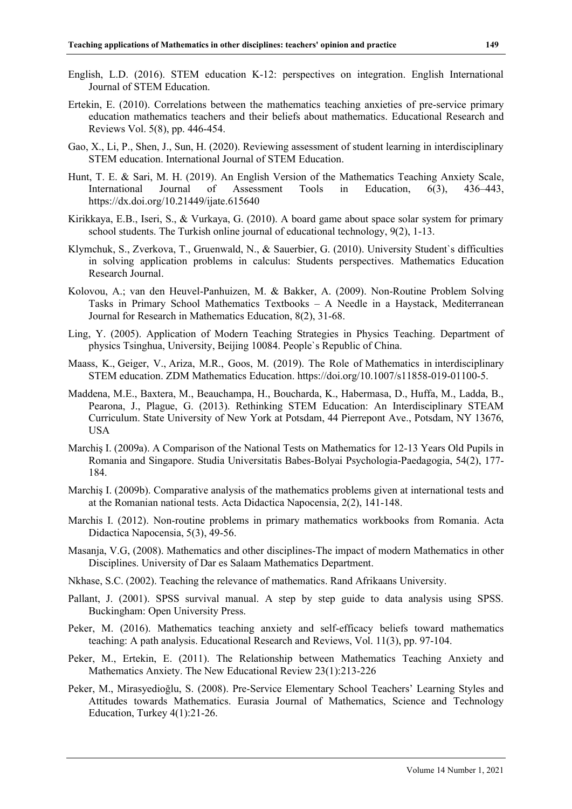- English, L.D. (2016). STEM education K-12: perspectives on integration. English International Journal of STEM Education.
- Ertekin, E. (2010). Correlations between the mathematics teaching anxieties of pre-service primary education mathematics teachers and their beliefs about mathematics. Educational Research and Reviews Vol. 5(8), pp. 446-454.
- Gao, X., Li, P., Shen, J., Sun, H. (2020). Reviewing assessment of student learning in interdisciplinary STEM education. International Journal of STEM Education.
- Hunt, T. E. & Sari, M. H. (2019). An English Version of the Mathematics Teaching Anxiety Scale, International Journal of Assessment Tools in Education, 6(3), 436–443, <https://dx.doi.org/10.21449/ijate.615640>
- Kirikkaya, E.B., Iseri, S., & Vurkaya, G. (2010). A board game about space solar system for primary school students. The Turkish online journal of educational technology, 9(2), 1-13.
- Klymchuk, S., Zverkova, T., Gruenwald, N., & Sauerbier, G. (2010). University Student`s difficulties in solving application problems in calculus: Students perspectives. Mathematics Education Research Journal.
- Kolovou, A.; van den Heuvel-Panhuizen, M. & Bakker, A. (2009). Non-Routine Problem Solving Tasks in Primary School Mathematics Textbooks – A Needle in a Haystack, Mediterranean Journal for Research in Mathematics Education, 8(2), 31-68.
- Ling, Y. (2005). Application of Modern Teaching Strategies in Physics Teaching. Department of physics Tsinghua, University, Beijing 10084. People`s Republic of China.
- Maass, K., Geiger, V., Ariza, M.R., Goos, M. (2019). The Role of Mathematics in interdisciplinary STEM education. ZDM Mathematics Education. [https://doi.org/10.1007/s11858-019-01100-5.](https://doi.org/10.1007/s11858-019-01100-5)
- Maddena, M.E., Baxtera, M., Beauchampa, H., Boucharda, K., Habermasa, D., Huffa, M., Ladda, B., Pearona, J., Plague, G. (2013). Rethinking STEM Education: An Interdisciplinary STEAM Curriculum. State University of New York at Potsdam, 44 Pierrepont Ave., Potsdam, NY 13676, USA
- Marchiş I. (2009a). A Comparison of the National Tests on Mathematics for 12-13 Years Old Pupils in Romania and Singapore. Studia Universitatis Babes-Bolyai Psychologia-Paedagogia, 54(2), 177- 184.
- Marchiş I. (2009b). Comparative analysis of the mathematics problems given at international tests and at the Romanian national tests. Acta Didactica Napocensia, 2(2), 141-148.
- Marchis I. (2012). Non-routine problems in primary mathematics workbooks from Romania. Acta Didactica Napocensia, 5(3), 49-56.
- Masanja, V.G, (2008). Mathematics and other disciplines-The impact of modern Mathematics in other Disciplines. University of Dar es Salaam Mathematics Department.
- Nkhase, S.C. (2002). Teaching the relevance of mathematics. Rand Afrikaans University.
- Pallant, J. (2001). SPSS survival manual. A step by step guide to data analysis using SPSS. Buckingham: Open University Press.
- Peker, M. (2016). Mathematics teaching anxiety and self-efficacy beliefs toward mathematics teaching: A path analysis. Educational Research and Reviews, Vol. 11(3), pp. 97-104.
- Peker, M., Ertekin, E. (2011). The Relationship between Mathematics Teaching Anxiety and Mathematics Anxiety. The New Educational Review 23(1):213-226
- Peker, M., Mirasyedioğlu, S. (2008). Pre-Service Elementary School Teachers' Learning Styles and Attitudes towards Mathematics. Eurasia Journal of Mathematics, Science and Technology Education, Turkey 4(1):21-26.